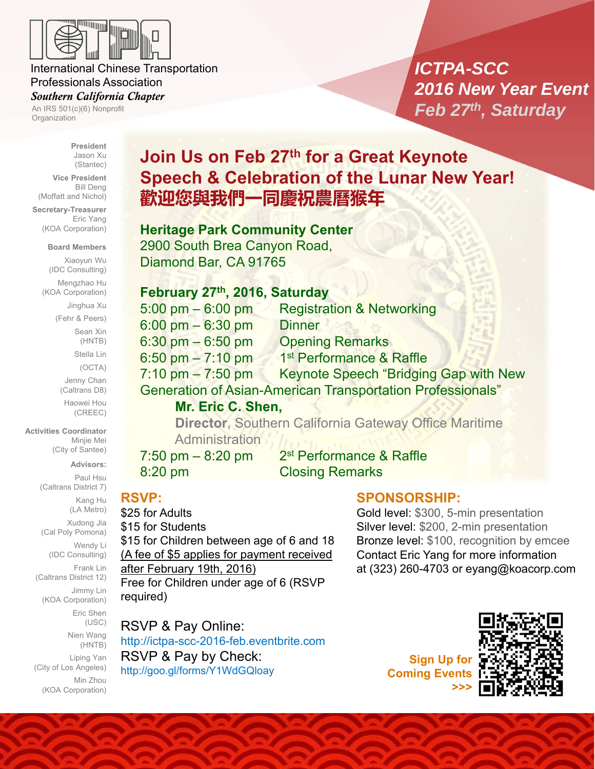

### International Chinese Transportation Professionals Association

### *Southern California Chapter*

An IRS 501(c)(6) Nonprofit Organization

# *ICTPA-SCC 2016 New Year Event Feb 27th, Saturday*

**President** Jason Xu (Stantec)

**Vice President** Bill Deng (Moffatt and Nichol)

**Secretary-Treasurer** Eric Yang (KOA Corporation)

#### **Board Members**

Xiaoyun Wu (IDC Consulting)

Mengzhao Hu (KOA Corporation)

Jinghua Xu

(Fehr & Peers)

Sean Xin (HNTB)

Stella Lin

(OCTA)

Jenny Chan (Caltrans D8)

Haowei Hou (CREEC)

**Activities Coordinator** Minjie Mei (City of Santee)

**Advisors:**

Paul Hsu (Caltrans District 7) Kang Hu (LA Metro) Xudong Jia (Cal Poly Pomona) Wendy Li (IDC Consulting) Frank Lin

(Caltrans District 12) Jimmy Lin

(KOA Corporation) Eric Shen

(USC)

Nien Wang (HNTB) Liping Yan (City of Los Angeles) Min Zhou

(KOA Corporation)

# **Join Us on Feb 27th for a Great Keynote Speech & Celebration of the Lunar New Year! 歡迎您與我們一同慶祝農曆猴年**

## **Heritage Park Community Center**

2900 South Brea Canyon Road, Diamond Bar, CA 91765

## **February 27th, 2016, Saturday**

| $5:00 \text{ pm} - 6:00 \text{ pm}$                               | <b>Registration &amp; Networking</b>         |
|-------------------------------------------------------------------|----------------------------------------------|
| $6:00 \text{ pm} - 6:30 \text{ pm}$                               | <b>Dinner</b>                                |
| $6:30$ pm $-6:50$ pm                                              | <b>Opening Remarks</b>                       |
| 6:50 pm $- 7:10$ pm                                               | 1 <sup>st</sup> Performance & Raffle         |
| $7:10 \text{ pm} - 7:50 \text{ pm}$                               | <b>Keynote Speech "Bridging Gap with New</b> |
| <b>Generation of Asian-American Transportation Professionals"</b> |                                              |
| Mr. Eric C. Shen,                                                 |                                              |
| <b>Director, Southern California Gateway Office Maritime</b>      |                                              |

**Administration** 

 $7:50$  pm  $-8:20$  pm  $2<sup>st</sup>$  Performance & Raffle 8:20 pm Closing Remarks

## **RSVP:**

\$25 for Adults \$15 for Students \$15 for Children between age of 6 and 18 (A fee of \$5 applies for payment received after February 19th, 2016) Free for Children under age of 6 (RSVP required)

RSVP & Pay Online: http://ictpa-scc-2016-feb.eventbrite.com RSVP & Pay by Check: http://goo.gl/forms/Y1WdGQloay

**Sign Up for Coming Event >>>**

**SPONSORSHIP:** 

Gold level: \$300, 5-min presentation Silver level: \$200, 2-min presentation Bronze level: \$100, recognition by emcee Contact Eric Yang for more information at (323) 260-4703 or eyang@koacorp.com



www.ictpa-scc.org